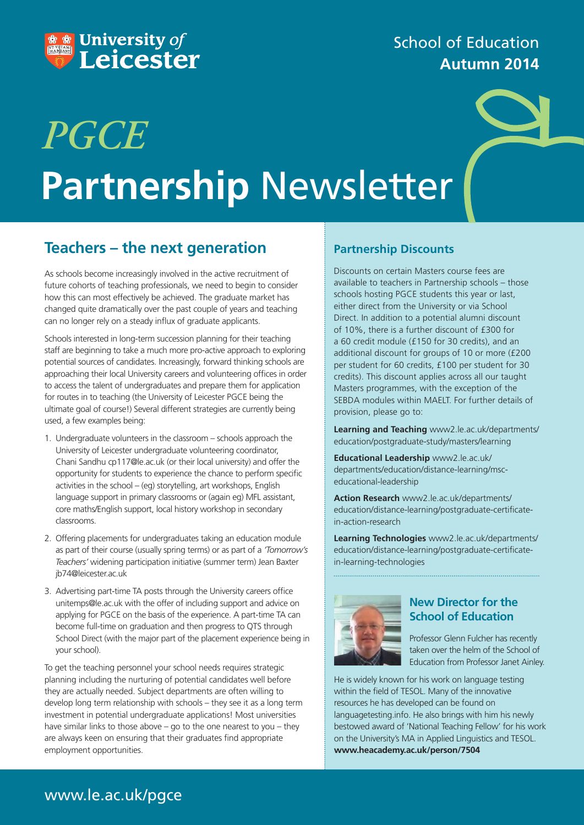

# School of Education **Autumn 2014**

# **Partnership** Newsletter *PGCE*

## **Teachers – the next generation**

As schools become increasingly involved in the active recruitment of future cohorts of teaching professionals, we need to begin to consider how this can most effectively be achieved. The graduate market has changed quite dramatically over the past couple of years and teaching can no longer rely on a steady influx of graduate applicants.

Schools interested in long-term succession planning for their teaching staff are beginning to take a much more pro-active approach to exploring potential sources of candidates. Increasingly, forward thinking schools are approaching their local University careers and volunteering offices in order to access the talent of undergraduates and prepare them for application for routes in to teaching (the University of Leicester PGCE being the ultimate goal of course!) Several different strategies are currently being used, a few examples being:

- 1. Undergraduate volunteers in the classroom schools approach the University of Leicester undergraduate volunteering coordinator, Chani Sandhu cp117@le.ac.uk (or their local university) and offer the opportunity for students to experience the chance to perform specific activities in the school – (eg) storytelling, art workshops, English language support in primary classrooms or (again eg) MFL assistant, core maths/English support, local history workshop in secondary classrooms.
- 2. Offering placements for undergraduates taking an education module as part of their course (usually spring terms) or as part of a *'Tomorrow's Teachers'* widening participation initiative (summer term) Jean Baxter jb74@leicester.ac.uk
- 3. Advertising part-time TA posts through the University careers office unitemps@le.ac.uk with the offer of including support and advice on applying for PGCE on the basis of the experience. A part-time TA can become full-time on graduation and then progress to QTS through School Direct (with the major part of the placement experience being in your school).

To get the teaching personnel your school needs requires strategic planning including the nurturing of potential candidates well before they are actually needed. Subject departments are often willing to develop long term relationship with schools – they see it as a long term investment in potential undergraduate applications! Most universities have similar links to those above – go to the one nearest to you – they are always keen on ensuring that their graduates find appropriate employment opportunities.

## **Partnership Discounts**

Discounts on certain Masters course fees are available to teachers in Partnership schools – those schools hosting PGCE students this year or last, either direct from the University or via School Direct. In addition to a potential alumni discount of 10%, there is a further discount of £300 for a 60 credit module (£150 for 30 credits), and an additional discount for groups of 10 or more (£200 per student for 60 credits, £100 per student for 30 credits). This discount applies across all our taught Masters programmes, with the exception of the SEBDA modules within MAELT. For further details of provision, please go to:

**Learning and Teaching** www2.le.ac.uk/departments/ education/postgraduate-study/masters/learning

**Educational Leadership** www2.le.ac.uk/ departments/education/distance-learning/msceducational-leadership

**Action Research** www2.le.ac.uk/departments/ education/distance-learning/postgraduate-certificatein-action-research

**Learning Technologies** www2.le.ac.uk/departments/ education/distance-learning/postgraduate-certificatein-learning-technologies



## **New Director for the School of Education**

Professor Glenn Fulcher has recently taken over the helm of the School of Education from Professor Janet Ainley.

He is widely known for his work on language testing within the field of TESOL. Many of the innovative resources he has developed can be found on languagetesting.info. He also brings with him his newly bestowed award of 'National Teaching Fellow' for his work on the University's MA in Applied Linguistics and TESOL. **www.heacademy.ac.uk/person/7504**

# www.le.ac.uk/pgce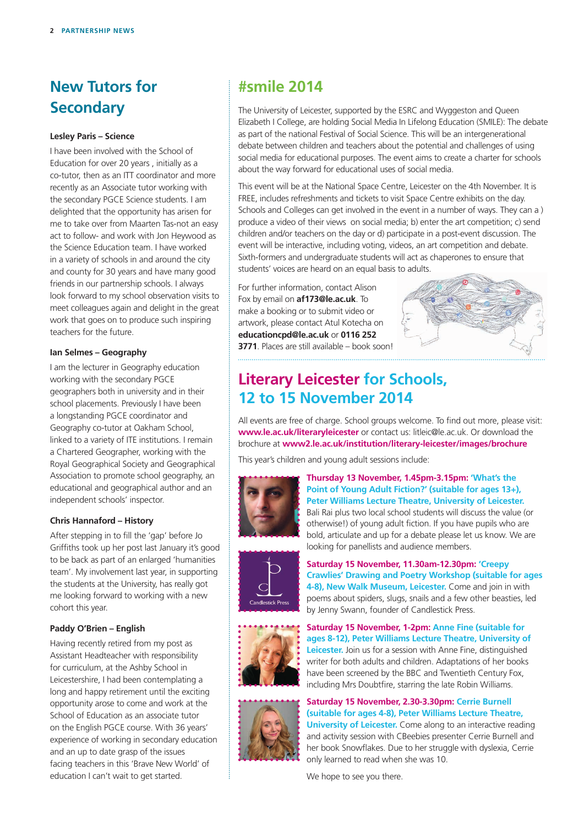# **New Tutors for Secondary**

#### **Lesley Paris – Science**

I have been involved with the School of Education for over 20 years , initially as a co-tutor, then as an ITT coordinator and more recently as an Associate tutor working with the secondary PGCE Science students. I am delighted that the opportunity has arisen for me to take over from Maarten Tas-not an easy act to follow- and work with Jon Heywood as the Science Education team. I have worked in a variety of schools in and around the city and county for 30 years and have many good friends in our partnership schools. I always look forward to my school observation visits to meet colleagues again and delight in the great work that goes on to produce such inspiring teachers for the future.

#### **Ian Selmes – Geography**

I am the lecturer in Geography education working with the secondary PGCE geographers both in university and in their school placements. Previously I have been a longstanding PGCE coordinator and Geography co-tutor at Oakham School, linked to a variety of ITE institutions. I remain a Chartered Geographer, working with the Royal Geographical Society and Geographical Association to promote school geography, an educational and geographical author and an independent schools' inspector.

#### **Chris Hannaford – History**

After stepping in to fill the 'gap' before Jo Griffiths took up her post last January it's good to be back as part of an enlarged 'humanities team'. My involvement last year, in supporting the students at the University, has really got me looking forward to working with a new cohort this year.

#### **Paddy O'Brien – English**

Having recently retired from my post as Assistant Headteacher with responsibility for curriculum, at the Ashby School in Leicestershire, I had been contemplating a long and happy retirement until the exciting opportunity arose to come and work at the School of Education as an associate tutor on the English PGCE course. With 36 years' experience of working in secondary education and an up to date grasp of the issues facing teachers in this 'Brave New World' of education I can't wait to get started.

## **#smile 2014**

The University of Leicester, supported by the ESRC and Wyggeston and Queen Elizabeth I College, are holding Social Media In Lifelong Education (SMILE): The debate as part of the national Festival of Social Science. This will be an intergenerational debate between children and teachers about the potential and challenges of using social media for educational purposes. The event aims to create a charter for schools about the way forward for educational uses of social media.

This event will be at the National Space Centre, Leicester on the 4th November. It is FREE, includes refreshments and tickets to visit Space Centre exhibits on the day. Schools and Colleges can get involved in the event in a number of ways. They can a ) produce a video of their views on social media; b) enter the art competition; c) send children and/or teachers on the day or d) participate in a post-event discussion. The event will be interactive, including voting, videos, an art competition and debate. Sixth-formers and undergraduate students will act as chaperones to ensure that students' voices are heard on an equal basis to adults.

For further information, contact Alison Fox by email on **af173@le.ac.uk**. To make a booking or to submit video or artwork, please contact Atul Kotecha on **educationcpd@le.ac.uk** or **0116 252 3771**. Places are still available – book soon!



# **Literary Leicester for Schools, 12 to 15 November 2014**

All events are free of charge. School groups welcome. To find out more, please visit: **www.le.ac.uk/literaryleicester** or contact us: litleic@le.ac.uk. Or download the brochure at **www2.le.ac.uk/institution/literary-leicester/images/brochure**

This year's children and young adult sessions include:



**Thursday 13 November, 1.45pm-3.15pm: 'What's the Point of Young Adult Fiction?' (suitable for ages 13+), Peter Williams Lecture Theatre, University of Leicester.**  Bali Rai plus two local school students will discuss the value (or otherwise!) of young adult fiction. If you have pupils who are bold, articulate and up for a debate please let us know. We are looking for panellists and audience members.



**Saturday 15 November, 11.30am-12.30pm: 'Creepy Crawlies' Drawing and Poetry Workshop (suitable for ages 4-8), New Walk Museum, Leicester.** Come and join in with poems about spiders, slugs, snails and a few other beasties, led by Jenny Swann, founder of Candlestick Press.



**Saturday 15 November, 1-2pm: Anne Fine (suitable for ages 8-12), Peter Williams Lecture Theatre, University of Leicester.** Join us for a session with Anne Fine, distinguished writer for both adults and children. Adaptations of her books have been screened by the BBC and Twentieth Century Fox, including Mrs Doubtfire, starring the late Robin Williams.



**Saturday 15 November, 2.30-3.30pm: Cerrie Burnell (suitable for ages 4-8), Peter Williams Lecture Theatre, University of Leicester.** Come along to an interactive reading and activity session with CBeebies presenter Cerrie Burnell and her book Snowflakes. Due to her struggle with dyslexia, Cerrie only learned to read when she was 10.

We hope to see you there.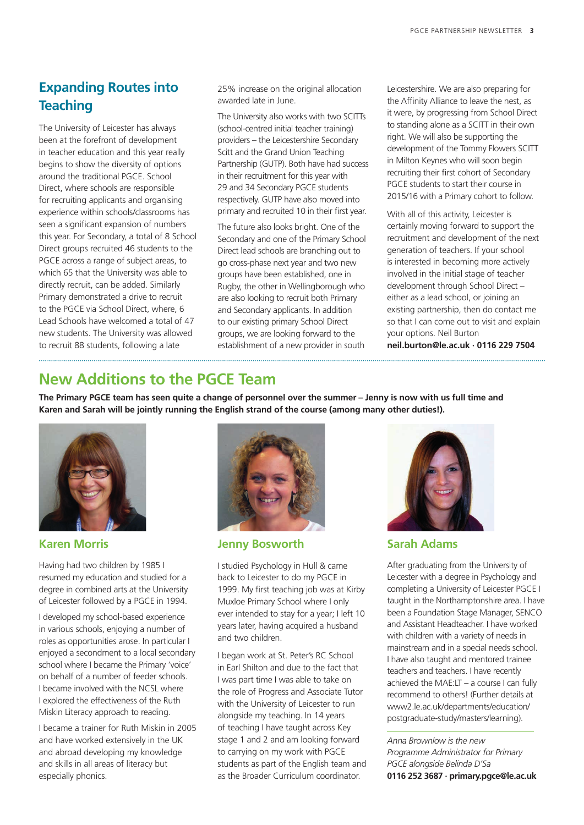## **Expanding Routes into Teaching**

The University of Leicester has always been at the forefront of development in teacher education and this year really begins to show the diversity of options around the traditional PGCE. School Direct, where schools are responsible for recruiting applicants and organising experience within schools/classrooms has seen a significant expansion of numbers this year. For Secondary, a total of 8 School Direct groups recruited 46 students to the PGCE across a range of subject areas, to which 65 that the University was able to directly recruit, can be added. Similarly Primary demonstrated a drive to recruit to the PGCE via School Direct, where, 6 Lead Schools have welcomed a total of 47 new students. The University was allowed to recruit 88 students, following a late

25% increase on the original allocation awarded late in June.

The University also works with two SCITTs (school-centred initial teacher training) providers – the Leicestershire Secondary Scitt and the Grand Union Teaching Partnership (GUTP). Both have had success in their recruitment for this year with 29 and 34 Secondary PGCE students respectively. GUTP have also moved into primary and recruited 10 in their first year.

The future also looks bright. One of the Secondary and one of the Primary School Direct lead schools are branching out to go cross-phase next year and two new groups have been established, one in Rugby, the other in Wellingborough who are also looking to recruit both Primary and Secondary applicants. In addition to our existing primary School Direct groups, we are looking forward to the establishment of a new provider in south

Leicestershire. We are also preparing for the Affinity Alliance to leave the nest, as it were, by progressing from School Direct to standing alone as a SCITT in their own right. We will also be supporting the development of the Tommy Flowers SCITT in Milton Keynes who will soon begin recruiting their first cohort of Secondary PGCE students to start their course in 2015/16 with a Primary cohort to follow.

With all of this activity, Leicester is certainly moving forward to support the recruitment and development of the next generation of teachers. If your school is interested in becoming more actively involved in the initial stage of teacher development through School Direct – either as a lead school, or joining an existing partnership, then do contact me so that I can come out to visit and explain your options. Neil Burton

**neil.burton@le.ac.uk · 0116 229 7504**

# **New Additions to the PGCE Team**

. . . . . . . . . . . . . . . . . . . .

**The Primary PGCE team has seen quite a change of personnel over the summer – Jenny is now with us full time and Karen and Sarah will be jointly running the English strand of the course (among many other duties!).**



### **Karen Morris**

Having had two children by 1985 I resumed my education and studied for a degree in combined arts at the University of Leicester followed by a PGCE in 1994.

I developed my school-based experience in various schools, enjoying a number of roles as opportunities arose. In particular I enjoyed a secondment to a local secondary school where I became the Primary 'voice' on behalf of a number of feeder schools. I became involved with the NCSL where I explored the effectiveness of the Ruth Miskin Literacy approach to reading.

I became a trainer for Ruth Miskin in 2005 and have worked extensively in the UK and abroad developing my knowledge and skills in all areas of literacy but especially phonics.



**Jenny Bosworth**

I studied Psychology in Hull & came back to Leicester to do my PGCE in 1999. My first teaching job was at Kirby Muxloe Primary School where I only ever intended to stay for a year; I left 10 years later, having acquired a husband and two children.

I began work at St. Peter's RC School in Earl Shilton and due to the fact that I was part time I was able to take on the role of Progress and Associate Tutor with the University of Leicester to run alongside my teaching. In 14 years of teaching I have taught across Key stage 1 and 2 and am looking forward to carrying on my work with PGCE students as part of the English team and as the Broader Curriculum coordinator.



**Sarah Adams**

After graduating from the University of Leicester with a degree in Psychology and completing a University of Leicester PGCE I taught in the Northamptonshire area. I have been a Foundation Stage Manager, SENCO and Assistant Headteacher. I have worked with children with a variety of needs in mainstream and in a special needs school. I have also taught and mentored trainee teachers and teachers. I have recently achieved the MAE:LT – a course I can fully recommend to others! (Further details at www2.le.ac.uk/departments/education/ postgraduate-study/masters/learning).

*Anna Brownlow is the new Programme Administrator for Primary PGCE alongside Belinda D'Sa* **0116 252 3687 · primary.pgce@le.ac.uk**